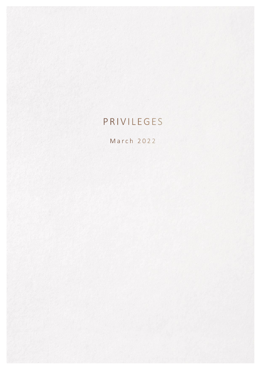# PRIVILEGES

March 2022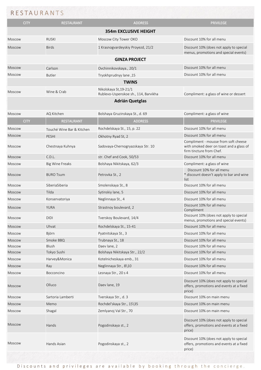## RESTAURANTS

| <b>CITY</b>   | <b>RESTAURANT</b>         | <b>ADDRESS</b>                                                 | <b>PRIVILEGE</b>                                                                              |  |  |  |  |
|---------------|---------------------------|----------------------------------------------------------------|-----------------------------------------------------------------------------------------------|--|--|--|--|
|               |                           | <b>354m EXCLUSIVE HEIGHT</b>                                   |                                                                                               |  |  |  |  |
| <b>Moscow</b> | <b>RUSKI</b>              | Moscow City Tower OKO                                          | Discount 10% for all menu                                                                     |  |  |  |  |
| <b>Moscow</b> | <b>Birds</b>              | 1 Krasnogvardeyskiy Proyezd, 21/2                              | Discount 10% (does not apply to special<br>menus, promotions and special events)              |  |  |  |  |
|               | <b>GINZA PROJECT</b>      |                                                                |                                                                                               |  |  |  |  |
| <b>Moscow</b> | Carlson                   | Ovchinnikovskaya., 20/1                                        | Discount 10% for all menu                                                                     |  |  |  |  |
| <b>Moscow</b> | <b>Butler</b>             | Tryokhprudnyy lane, 15                                         | Discount 10% for all menu                                                                     |  |  |  |  |
|               |                           | <b>TWINS</b>                                                   |                                                                                               |  |  |  |  |
| <b>Moscow</b> | Wine & Crab               | Nikolskaya St, 19-21/1<br>Rublevo-Uspenskoe sh., 114, Barvikha | Compliment: a glass of wine or dessert                                                        |  |  |  |  |
|               |                           | <b>Adrián Quetglas</b>                                         |                                                                                               |  |  |  |  |
| <b>Moscow</b> | AQ Kitchen                | Bolshaya Gruzinskaya St., d. 69                                | Compliment: a glass of wine                                                                   |  |  |  |  |
| <b>CITY</b>   | <b>RESTAURANT</b>         | <b>ADDRESS</b>                                                 | <b>PRIVILEGE</b>                                                                              |  |  |  |  |
|               |                           |                                                                | Discount 10% for all menu                                                                     |  |  |  |  |
| <b>Moscow</b> | Touché Wine Bar & Kitchen | Rochdelskaya St., 15, p. 22                                    |                                                                                               |  |  |  |  |
| <b>Moscow</b> | <b>PESHI</b>              | Okhotny Ryad St, 2                                             | Discount 10% for all menu<br>Compliment - mousse from soft cheese                             |  |  |  |  |
| <b>Moscow</b> | Chestnaya Kuhnya          | Sadovaya-Chernogryazskaya Str. 10                              | with smoked deer on toast and a glass of<br>firm tincture from Chef.                          |  |  |  |  |
| <b>Moscow</b> | C.D.L.                    | str. Chef and Cook, 50/53                                      | Discount 10% for all menu                                                                     |  |  |  |  |
| Moscow        | <b>Big Wine Freaks</b>    | Bolshaya Nikitskaya, 62/3                                      | Compliment: a glass of wine                                                                   |  |  |  |  |
| <b>Moscow</b> | <b>BURO Tsum</b>          | Petrovka St., 2                                                | Discount 10% for all menu<br>* discount doesn't apply to bar and wine<br>list                 |  |  |  |  |
| <b>Moscow</b> | SiberiaSiberia            | Smolenskaya St., 8                                             | Discount 10% for all menu                                                                     |  |  |  |  |
| Moscow        | Tilda                     | Sytinskiy lane, 5                                              | Discount 10% for all menu                                                                     |  |  |  |  |
| <b>Moscow</b> | Konservatoriya            | Neglinnaya St., 4                                              | Discount 10% for all menu                                                                     |  |  |  |  |
| <b>Moscow</b> | YURA                      | Strastnoy boulevard, 2                                         | Discount 10% for all menu<br>Compliment                                                       |  |  |  |  |
| Moscow        | <b>DIDI</b>               | Tverskoy Boulevard, 14/4                                       | Discount 10% (does not apply to special<br>menus, promotions and special events)              |  |  |  |  |
| Moscow        | Uhvat                     | Rochdelskaya St., 15-41                                        | Discount 10% for all menu                                                                     |  |  |  |  |
| Moscow        | Björn                     | Pyatnitskaya St., 3                                            | Discount 10% for all menu                                                                     |  |  |  |  |
| Moscow        | Smoke BBQ                 | Trubnaya St., 18                                               | Discount 10% for all menu                                                                     |  |  |  |  |
| Moscow        | Blush                     | Daev lane, 2                                                   | Discount 10% for all menu                                                                     |  |  |  |  |
| Moscow        | Tokyo Sushi               | Bolshaya Nikitskaya Str., 22/2                                 | Discount 10% for all menu                                                                     |  |  |  |  |
| Moscow        | Harvey&Monica             | Kotelnicheskaya emb., 31                                       | Discount 10% for all menu                                                                     |  |  |  |  |
| Moscow        | Ray                       | Neglinnaya Str., 8\10                                          | Discount 10% for all menu                                                                     |  |  |  |  |
| Moscow        | Bocconcino                | Lesnaya Str., 20 s 4                                           | Discount 10% for all menu                                                                     |  |  |  |  |
| Moscow        | Olluco                    | Daev lane, 19                                                  | Discount 10% (does not apply to special<br>offers, promotions and events at a fixed<br>price) |  |  |  |  |
| Moscow        | Sartoria Lamberti         | Tverskaya Str., d. 3                                           | Discount 10% on main menu                                                                     |  |  |  |  |
| Moscow        | Memo                      | Rochdel'skaya Str., 15\35                                      | Discount 10% on main menu                                                                     |  |  |  |  |
| Moscow        | Shagal                    | Zemlyanoj Val Str., 70                                         | Discount 10% on main menu                                                                     |  |  |  |  |
| Moscow        | Hands                     | Pogodinskaya st., 2                                            | Discount 10% (does not apply to special<br>offers, promotions and events at a fixed<br>price) |  |  |  |  |
| <b>Moscow</b> | Hands Asian               | Pogodinskaya st., 2                                            | Discount 10% (does not apply to special<br>offers, promotions and events at a fixed<br>price) |  |  |  |  |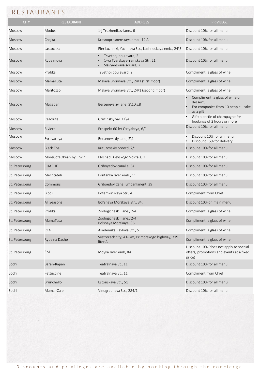## RESTAURANTS

| <b>CITY</b>    | <b>RESTAURANT</b>      | <b>ADDRESS</b>                                                                     | <b>PRIVILEGE</b>                                                                               |
|----------------|------------------------|------------------------------------------------------------------------------------|------------------------------------------------------------------------------------------------|
| <b>Moscow</b>  | Modus                  | 1-j Truzhenikov lane., 6                                                           | Discount 10% for all menu                                                                      |
| <b>Moscow</b>  | Chajka                 | Krasnopresnenskaya emb., 12 A                                                      | Discount 10% for all menu                                                                      |
| <b>Moscow</b>  | Lastochka              | Pier Luzhniki, Yuzhnaya Str., Luzhneckaya emb., 24\5                               | Discount 10% for all menu                                                                      |
| <b>Moscow</b>  | Ryba moya              | Tsvetnoj boulevard, 2<br>1-ya Tverskaya-Yamskaya Str, 21<br>Slavyanskaya square, 2 | Discount 10% for all menu                                                                      |
| <b>Moscow</b>  | Probka                 | Tsvetnoj boulevard, 2                                                              | Compliment: a glass of wine                                                                    |
| Moscow         | MamaTuta               | Malaya Bronnaya Str., 24\1 (first floor)                                           | Compliment: a glass of wine                                                                    |
| <b>Moscow</b>  | Maritozzo              | Malaya Bronnaya Str., 24\1 (second floor)                                          | Compliment: a glass of wine                                                                    |
| <b>Moscow</b>  | Magadan                | Bersenevskiy lane, 3\10 s.8                                                        | Compliment: a glass of wine or<br>dessert;<br>For companies from 10 people - cake<br>as a gift |
| Moscow         | Rezolute               | Gruzinskiy val, 11\4                                                               | Gift: a bottle of champagne for<br>bookings of 2 hours or more                                 |
| <b>Moscow</b>  | Riviera                | Prospekt 60 let Oktyabrya, 6/1                                                     | Discount 10% for all menu                                                                      |
| Moscow         | Syrovarnya             | Bersenevskiy lane, 2\1                                                             | Discount 10% for all menu<br>Discount 15% for delivery                                         |
| <b>Moscow</b>  | <b>Black Thai</b>      | Kutuzovskiy proezd, 2/1                                                            | Discount 10% for all menu                                                                      |
| Moscow         | MoreCofeOkean by Erwin | Ploshad' Kievskogo Vokzala, 2                                                      | Discount 10% for all menu                                                                      |
| St. Petersburg | <b>CHARLIE</b>         | Griboyedov canal e, 54                                                             | Discount 10% for all menu                                                                      |
| St. Petersburg | Mechtateli             | Fontanka river emb., 11                                                            | Discount 10% for all menu                                                                      |
| St. Petersburg | Commons                | Griboedov Canal Embankment, 39                                                     | Discount 10% for all menu                                                                      |
| St. Petersburg | <b>Block</b>           | Potemkinskaya Str., 4                                                              | Compliment from Chief                                                                          |
| St. Petersburg | All Seasons            | Bol'shaya Morskaya Str., 34,                                                       | Discount 10% on main menu                                                                      |
| St. Petersburg | Probka                 | Zoologicheskii lane 2-4                                                            | Compliment: a glass of wine                                                                    |
| St. Petersburg | MamaTuta               | Zoologicheskij lane., 2-4<br>Bolshaya Morskaya, 36                                 | Compliment: a glass of wine                                                                    |
| St. Petersburg | R14                    | Akademika Pavlova Str., 5                                                          | Compliment: a glass of wine                                                                    |
| St. Petersburg | Ryba na Dache          | Sestroreck city, 41- km, Primorskogo highway, 319<br>liter A                       | Compliment: a glass of wine                                                                    |
| St. Petersburg | EM                     | Moyka river emb, 84                                                                | Discount 10% (does not apply to special<br>offers, promotions and events at a fixed<br>price)  |
| Sochi          | Baran-Rapan            | Teatralnaya St., 11                                                                | Discount 10% for all menu                                                                      |
| Sochi          | Fettuccine             | Teatralnaya St., 11                                                                | Compliment from Chief                                                                          |
| Sochi          | Brunchello             | Estonskaya Str., 51                                                                | Discount 10% for all menu                                                                      |
| Sochi          | Mamai-Cale             | Vinogradnaya Str., 284/1                                                           | Discount 10% for all menu                                                                      |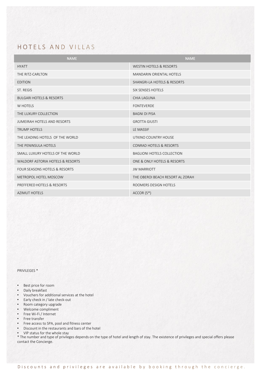#### HOTELS AND VILLAS

| <b>NAME</b>                         | <b>NAME</b>                        |
|-------------------------------------|------------------------------------|
| <b>HYATT</b>                        | <b>WESTIN HOTELS &amp; RESORTS</b> |
| THE RITZ-CARLTON                    | <b>MANDARIN ORIENTAL HOTELS</b>    |
| <b>EDITION</b>                      | SHANGRI-LA HOTELS & RESORTS        |
| ST. REGIS                           | <b>SIX SENSES HOTELS</b>           |
| <b>BULGARI HOTELS &amp; RESORTS</b> | <b>CHIA LAGUNA</b>                 |
| W HOTELS                            | <b>FONTEVERDE</b>                  |
| THE LUXURY COLLECTION               | <b>BAGNI DI PISA</b>               |
| JUMEIRAH HOTELS AND RESORTS         | <b>GROTTA GIUSTI</b>               |
| <b>TRUMP HOTELS</b>                 | LE MASSIF                          |
| THE LEADING HOTELS OF THE WORLD     | UTKINO COUNTRY HOUSE               |
| THE PENINSULA HOTELS                | CONRAD HOTELS & RESORTS            |
| SMALL LUXURY HOTELS OF THE WORLD    | <b>BAGLIONI HOTELS COLLECTION</b>  |
| WALDORF ASTORIA HOTELS & RESORTS    | ONE & ONLY HOTELS & RESORTS        |
| FOUR SEASONS HOTELS & RESORTS       | <b>JW MARRIOTT</b>                 |
| METROPOL HOTEL MOSCOW               | THE OBEROI BEACH RESORT AL ZORAH   |
| PREFFERED HOTELS & RESORTS          | ROOMERS DESIGN HOTELS              |
| AZIMUT HOTELS                       | $ACCOR(5*)$                        |

PRIVILEGES \*

- Best price for room
- Daily breakfast
- Vouchers for additional services at the hotel
- Early check in / late check-out
- Room category upgrade
- Welcome compliment
- Free Wi-Fi / Internet
- Free transfer
- Free access to SPA, pool and fitness center
- Discount in the restaurants and bars of the hotel
- VIP status for the whole stay

\* The number and type of privileges depends on the type of hotel and length of stay. The existence of privileges and special offers please contact the Concierge.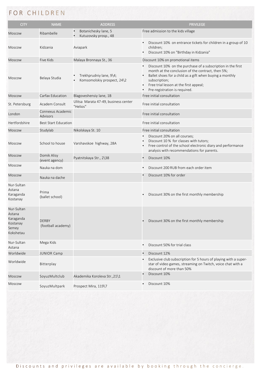# FOR CHILDREN

| <b>CITY</b>                                                         | <b>NAME</b>                          | <b>ADDRESS</b>                                         | <b>PRIVILEGE</b>                                                                                                                                                                                                                                                         |
|---------------------------------------------------------------------|--------------------------------------|--------------------------------------------------------|--------------------------------------------------------------------------------------------------------------------------------------------------------------------------------------------------------------------------------------------------------------------------|
| <b>Moscow</b>                                                       | Ribambelle                           | Botanichesky lane, 5<br>Kutuzovsky prosp., 48          | Free admission to the kids village                                                                                                                                                                                                                                       |
| Moscow                                                              | Kidzania                             | Aviapark                                               | Discount 10% on entrance tickets for children in a group of 10<br>children;<br>Discount 10% on "Birthday in Kidzania"                                                                                                                                                    |
| <b>Moscow</b>                                                       | <b>Five Kids</b>                     | Malaya Bronnaya St., 36                                | Discount 10% on promotional items                                                                                                                                                                                                                                        |
| <b>Moscow</b>                                                       | Belaya Studia                        | Trekhprudniy lane, 9\4;<br>Komsomolskiy prospect, 24\2 | Discount 10% on the purchase of a subscription in the first<br>month at the conclusion of the contract, then 5%;<br>Ballet shoes for a child as a gift when buying a monthly<br>subscription;<br>Free trial lesson at the first appeal;<br>Pre-registration is required. |
| <b>Moscow</b>                                                       | Carfax Education                     | Blagoveshensiy lane, 1B                                | Free initial consultation                                                                                                                                                                                                                                                |
| St. Petersburg                                                      | Academ Consult                       | Ulitsa Marata 47-49, business center<br>"Helios"       | Free initial consultation                                                                                                                                                                                                                                                |
| London                                                              | Connexus Academic<br><b>Advisors</b> |                                                        | Free initial consultation                                                                                                                                                                                                                                                |
| Hertfordshire                                                       | <b>Best Start Education</b>          |                                                        | Free initial consultation                                                                                                                                                                                                                                                |
| Moscow                                                              | Studylab                             | Nikolskaya St. 10                                      | Free initial consultation                                                                                                                                                                                                                                                |
| <b>Moscow</b>                                                       | School to house                      | Varshavskoe highway, 28A                               | Discount 20% on all courses;<br>Discount 10 % for classes with tutors;<br>Free control of the school electronic diary and performance<br>analysis with recommendations for parents.                                                                                      |
| <b>Moscow</b>                                                       | Domik Alisy<br>(event agency)        | Pyatnitskaya Str., 2\38                                | Discount 10%                                                                                                                                                                                                                                                             |
| <b>Moscow</b>                                                       | Nauka na dom                         |                                                        | Discount 200 RUB from each order item                                                                                                                                                                                                                                    |
| <b>Moscow</b>                                                       | Nauka na dache                       |                                                        | Discount 10% for order                                                                                                                                                                                                                                                   |
| Nur-Sultan<br>Astana<br>Karaganda<br>Kostanay                       | Prima<br>(ballet school)             |                                                        | Discount 30% on the first monthly membership<br>$\bullet$                                                                                                                                                                                                                |
| Nur-Sultan<br>Astana<br>Karaganda<br>Kostanay<br>Semey<br>Kokshetau | <b>DERBY</b><br>(football academy)   |                                                        | Discount 30% on the first monthly membership                                                                                                                                                                                                                             |
| Nur-Sultan<br>Astana                                                | Mega Kids                            |                                                        | Discount 50% for trial class                                                                                                                                                                                                                                             |
| Worldwide                                                           | <b>JUNIOR Camp</b>                   |                                                        | Discount 12%                                                                                                                                                                                                                                                             |
| Worldwide                                                           | Bitterplay                           |                                                        | Exclusive club subscription for 5 hours of playing with a super-<br>$\bullet$<br>star of video games, streaming on Twitch, voice chat with a<br>discount of more than 50%                                                                                                |
| <b>Moscow</b>                                                       | SoyuzMultclub                        | Akademika Koroleva Str., 21\1                          | Discount 10%                                                                                                                                                                                                                                                             |
| Moscow                                                              | SoyuzMultpark                        | Prospect Mira, 119\7                                   | Discount 10%<br>$\bullet$                                                                                                                                                                                                                                                |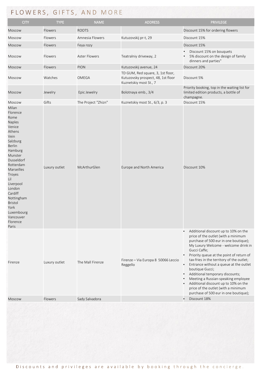# FLOWERS, GIFTS, AND MORE

| <b>CITY</b>                                                                                                                                                                                                                                                                                            | <b>TYPE</b>   | <b>NAME</b>          | <b>ADDRESS</b>                                                                                    | <b>PRIVILEGE</b>                                                                                                                                                                                                                                                                                                                                                                                                                                                                                                                                               |
|--------------------------------------------------------------------------------------------------------------------------------------------------------------------------------------------------------------------------------------------------------------------------------------------------------|---------------|----------------------|---------------------------------------------------------------------------------------------------|----------------------------------------------------------------------------------------------------------------------------------------------------------------------------------------------------------------------------------------------------------------------------------------------------------------------------------------------------------------------------------------------------------------------------------------------------------------------------------------------------------------------------------------------------------------|
| Moscow                                                                                                                                                                                                                                                                                                 | Flowers       | <b>ROOTS</b>         |                                                                                                   | Discount 15% for ordering flowers                                                                                                                                                                                                                                                                                                                                                                                                                                                                                                                              |
| Moscow                                                                                                                                                                                                                                                                                                 | Flowers       | Amnesia Flowers      | Kutuzovskij pr-t, 29                                                                              | Discount 15%                                                                                                                                                                                                                                                                                                                                                                                                                                                                                                                                                   |
| Moscow                                                                                                                                                                                                                                                                                                 | Flowers       | Feya rozy            |                                                                                                   | Discount 15%                                                                                                                                                                                                                                                                                                                                                                                                                                                                                                                                                   |
| Moscow                                                                                                                                                                                                                                                                                                 | Flowers       | <b>Aster Flowers</b> | Teatralniy driveway, 2                                                                            | Discount 15% on bouquets<br>5% discount on the design of family<br>dinners and parties"                                                                                                                                                                                                                                                                                                                                                                                                                                                                        |
| Moscow                                                                                                                                                                                                                                                                                                 | Flowers       | <b>PION</b>          | Kutuzovskij avenue, 24                                                                            | Discount 20%                                                                                                                                                                                                                                                                                                                                                                                                                                                                                                                                                   |
| Moscow                                                                                                                                                                                                                                                                                                 | Watches       | OMEGA                | TD GUM, Red square, 3, 1st floor,<br>Kutuzovsky prospect, 48, 1st floor<br>Kuznetskiy most St., 7 | Discount 5%                                                                                                                                                                                                                                                                                                                                                                                                                                                                                                                                                    |
| <b>Moscow</b>                                                                                                                                                                                                                                                                                          | Jewelry       | Epic Jewelry         | Bolotnaya emb., 3/4                                                                               | Priority booking, top in the waiting list for<br>limited edition products, a bottle of<br>champagne.                                                                                                                                                                                                                                                                                                                                                                                                                                                           |
| Moscow                                                                                                                                                                                                                                                                                                 | Gifts         | The Project "Zhizn"  | Kuznetskiy most St., 6/3, p. 3                                                                    | Discount 15%                                                                                                                                                                                                                                                                                                                                                                                                                                                                                                                                                   |
| Milan<br>Florence<br>Rome<br>Naples<br>Venice<br>Athens<br>Vein<br>Salzburg<br><b>Berlin</b><br>Hamburg<br>Munster<br>Dusseldorf<br>Rotterdam<br><b>Marseilles</b><br>Troyes<br>Lil<br>Liverpool<br>London<br>Cardiff<br>Nottingham<br>Bristol<br>York<br>Luxembourg<br>Vancouver<br>Florence<br>Paris | Luxury outlet | McArthurGlen         | Europe and North America                                                                          | Discount 10%                                                                                                                                                                                                                                                                                                                                                                                                                                                                                                                                                   |
| Firenze                                                                                                                                                                                                                                                                                                | Luxury outlet | The Mall Firenze     | Firenze - Via Europa 8 50066 Leccio<br>Reggello                                                   | Additional discount up to 10% on the<br>$\bullet$<br>price of the outlet (with a minimum<br>purchase of 500 eur in one boutique);<br>My Luxury Welcome - welcome drink in<br>Gucci Caffe;<br>Priority queue at the point of return of<br>tax-fries in the territory of the outlet;<br>Entrance without a queue at the outlet<br>$\bullet$<br>boutique Gucci;<br>Additional temporary discounts;<br>Meeting a Russian-speaking employee<br>Additional discount up to 10% on the<br>price of the outlet (with a minimum<br>purchase of 500 eur in one boutique); |
| <b>Moscow</b>                                                                                                                                                                                                                                                                                          | Flowers       | Sady Salvadora       |                                                                                                   | Discount 18%                                                                                                                                                                                                                                                                                                                                                                                                                                                                                                                                                   |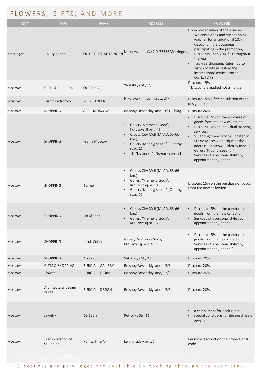| <b>CITY</b>   | <b>TYPE</b>                    | <b>NAME</b>                 | <b>ADDRESS</b>                                                                                                                                                                       | <b>PRIVILEGE</b>                                                                                                                                                                                                                                                                                                                               |
|---------------|--------------------------------|-----------------------------|--------------------------------------------------------------------------------------------------------------------------------------------------------------------------------------|------------------------------------------------------------------------------------------------------------------------------------------------------------------------------------------------------------------------------------------------------------------------------------------------------------------------------------------------|
| Metzingen     | Luxury outlet                  | <b>OUTLETCITY METZINGEN</b> | Maienwaldstraße 2 D-72555 Metzingen                                                                                                                                                  | Upon presentation of the voucher:<br>Welcome drink and VIP shopping<br>voucher for an additional 10%<br>discount in the boutiques<br>participating in the promotion;<br>Discounts up to 70% ** throughout<br>the year;<br>Tax Free shopping. Return up to<br>14.5% of VAT in cash at the<br>international service center<br><b>OUTLETCITY;</b> |
| <b>Moscow</b> | <b>GIFTS &amp; SHOPPING</b>    | QUEENSBEE                   | Yauzskaya St., 1\3                                                                                                                                                                   | Discount 15%<br>* Discount is applied not all range                                                                                                                                                                                                                                                                                            |
| Moscow        | Furniture factory              | MEBEL.EXPERT                | Nikolaya Khimushina St., 2\7                                                                                                                                                         | Discount 15% + free calculation of the<br>design project                                                                                                                                                                                                                                                                                       |
| <b>Moscow</b> | <b>SHOPPING</b>                | <b>APRIL MOSCOW</b>         | Bolshoy Savvinskiy lane, 16\14, bldg. 7                                                                                                                                              | Discount 20%                                                                                                                                                                                                                                                                                                                                   |
| <b>Moscow</b> | <b>SHOPPING</b>                | Frame Moscow                | Gallery 'Vremena Goda',<br>Kutuzovskij pr-t, 48;<br>Crocus City Moll (MKAD, 65-66<br>$km.$ );<br>Gallery 'Modnyj sezon" (Ohotnyj<br>ryad, $2)$<br>TH "Novinskij" (Novinskij b-r, 31) | Discount 15% on the purchase of<br>goods from the new collection;<br>Discount 10% on individual tailoring<br>services;<br>VIP fitting room services located in<br>Frame Moscow boutique at the<br>address: Moscow, Okhotny Ryad, 2,<br>Gallery 'Modnyj sezon'.<br>Services of a personal stylist by<br>appointment by phone.                   |
| Moscow        | <b>SHOPPING</b>                | Barrett                     | Crocus City Moll (MKAD, 65-66<br>$km.$ );<br>Gallery 'Vremena Goda',<br>Kutuzovskij pr-t, 48;<br>Gallery 'Modnyj sezon" (Ohotnyj<br>ryad, $2)$                                       | Discount 15% on the purchase of goods<br>from the new collection                                                                                                                                                                                                                                                                               |
| <b>Moscow</b> | <b>SHOPPING</b>                | Paul&Shark                  | Crocus City Moll (MKAD, 65-66<br>$km.$ );<br>Gallery 'Vremena Goda',<br>Kutuzovskij pr-t, 48;"                                                                                       | Discount 15% on the purchase of<br>goods from the new collection;<br>Services of a personal stylist by<br>appointment by phone"                                                                                                                                                                                                                |
| <b>Moscow</b> | <b>SHOPPING</b>                | Jacob Cohen                 | Gallery 'Vremena Goda,<br>Kutuzovskij pr-t, 48;"                                                                                                                                     | Discount 15% on the purchase of<br>$\bullet$<br>goods from the new collection;<br>Services of a personal stylist by<br>appointment by phone."                                                                                                                                                                                                  |
| <b>Moscow</b> | <b>SHOPPING</b>                | Asian Spirit                | Shkolnaya St., 27                                                                                                                                                                    | Discount 20%                                                                                                                                                                                                                                                                                                                                   |
| Moscow        | <b>GIFTS &amp; SHOPPING</b>    | <b>BURO ALL GALLERY</b>     | Bolshoy Savvinskiy lane, 12/5                                                                                                                                                        | Discount 20%                                                                                                                                                                                                                                                                                                                                   |
| <b>Moscow</b> | Flower                         | <b>BURO ALL FLORA</b>       | Bolshoy Savvinskiy lane, 12/5                                                                                                                                                        | Discount 20%                                                                                                                                                                                                                                                                                                                                   |
| Moscow        | Architectural design<br>bureau | <b>BURO ALL DESIGN</b>      | Bolshoy Savvinskiy lane, 12/5                                                                                                                                                        | Discount 20%                                                                                                                                                                                                                                                                                                                                   |
| Moscow        | Jewelry                        | De Beers                    | Petrovka Str., 11                                                                                                                                                                    | a compliment for each guest<br>special conditions for the purchase of<br>jewelry                                                                                                                                                                                                                                                               |
| <b>Moscow</b> | Transportation of<br>valuables | Romax Fine Art              | Leningradsiy pr-t, 1                                                                                                                                                                 | Personal discount on the promotional<br>code                                                                                                                                                                                                                                                                                                   |

 $\overline{\phantom{a}}$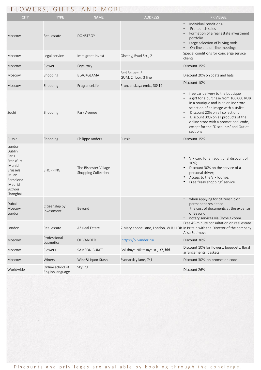|                                                                                                                           | FLOWERS, GIFTS, AND MORE             |                                              |                                       |                                                                                                                                                                                                                                                                                                                                     |  |  |
|---------------------------------------------------------------------------------------------------------------------------|--------------------------------------|----------------------------------------------|---------------------------------------|-------------------------------------------------------------------------------------------------------------------------------------------------------------------------------------------------------------------------------------------------------------------------------------------------------------------------------------|--|--|
| <b>CITY</b>                                                                                                               | <b>TYPE</b>                          | <b>NAME</b>                                  | <b>ADDRESS</b>                        | <b>PRIVILEGE</b>                                                                                                                                                                                                                                                                                                                    |  |  |
| <b>Moscow</b>                                                                                                             | Real estate                          | <b>DONSTROY</b>                              |                                       | Individual conditions-<br>Pre-launch sales<br>Formation of a real estate investment<br>portfolio<br>Large selection of buying tools<br>On-line and off-line meetings                                                                                                                                                                |  |  |
| Moscow                                                                                                                    | Legal service                        | Immigrant Invest                             | Ohotnyj Ryad Str., 2                  | Special conditions for concierge service<br>clients.                                                                                                                                                                                                                                                                                |  |  |
| <b>Moscow</b>                                                                                                             | Flower                               | Feya rozy                                    |                                       | Discount 15%                                                                                                                                                                                                                                                                                                                        |  |  |
| Moscow                                                                                                                    | Shopping                             | BLACKGLAMA                                   | Red Square, 3<br>GUM, 2 floor, 3 line | Discount 20% on coats and hats                                                                                                                                                                                                                                                                                                      |  |  |
| Moscow                                                                                                                    | Shopping                             | FragranceLife                                | Frunzenskaya emb., 30\19              | Discount 10%                                                                                                                                                                                                                                                                                                                        |  |  |
| Sochi                                                                                                                     | Shopping                             | Park Avenue                                  |                                       | free car delivery to the boutique<br>a gift for a purchase from 100.000 RUB<br>in a boutique and in an online store<br>selection of an image with a stylist<br>Discount 20% on all collections<br>Discount 30% on all products of the<br>online store with a promotional code,<br>except for the "Discounts" and Outlet<br>sections |  |  |
| Russia                                                                                                                    | Shopping                             | Philippe Anders                              | Russia                                | Discount 15%                                                                                                                                                                                                                                                                                                                        |  |  |
| London<br>Dublin<br>Paris<br>Frankfurt<br>Munich<br><b>Brussels</b><br>Milan<br>Barcelona<br>Madrid<br>Suzhou<br>Shanghai | <b>SHOPPING</b>                      | The Biscester Village<br>Shopping Collection |                                       | VIP card for an additional discount of<br>10%;<br>Discount 30% on the service of a<br>personal driver;<br>Access to the VIP lounge;<br>Free "easy shopping" service.                                                                                                                                                                |  |  |
| Dubai<br>Moscow<br>London                                                                                                 | Citizenship by<br>Investment         | Beyond                                       |                                       | when applying for citizenship or<br>permanent residence<br>the cost of documents at the expense<br>of Beyond;<br>notary services via Skype / Zoom.                                                                                                                                                                                  |  |  |
| London                                                                                                                    | Real estate                          | AZ Real Estate                               |                                       | Free 45-minute consultation on real estate<br>7 Marylebone Lane, London, W1U 1DB in Britain with the Director of the company<br>Alisa Zotimova                                                                                                                                                                                      |  |  |
| <b>Moscow</b>                                                                                                             | Professional<br>cosmetics            | OLIVANDER                                    | https://olivander.ru/                 | Discount 30%                                                                                                                                                                                                                                                                                                                        |  |  |
| Moscow                                                                                                                    | Flowers                              | <b>SAMSON BUKET</b>                          | Bol'shaya Nikitskaya st., 37, bld. 1  | Discount 10% for flowers, bouquets, floral<br>arrangements, baskets                                                                                                                                                                                                                                                                 |  |  |
| Moscow                                                                                                                    | Winery                               | Wine&Liquor Stash                            | Zvonarskiy lane, 7\1                  | Discount 30% on promotion code                                                                                                                                                                                                                                                                                                      |  |  |
| Worldwide                                                                                                                 | Online school of<br>English language | SkyEng                                       |                                       | Discount 26%                                                                                                                                                                                                                                                                                                                        |  |  |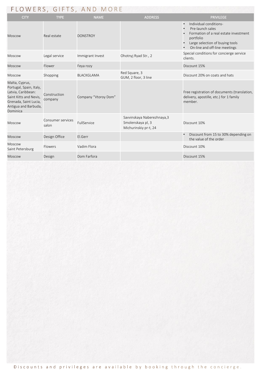## FLOWERS, GIFTS, AND MORE

| <b>CITY</b>                                                                                                                                            | <b>TYPE</b>                | <b>NAME</b>          | <b>ADDRESS</b>                                                            | <b>PRIVILEGE</b>                                                                                                                                                                                            |
|--------------------------------------------------------------------------------------------------------------------------------------------------------|----------------------------|----------------------|---------------------------------------------------------------------------|-------------------------------------------------------------------------------------------------------------------------------------------------------------------------------------------------------------|
| <b>Moscow</b>                                                                                                                                          | Real estate                | <b>DONSTROY</b>      |                                                                           | Individual conditions-<br>$\bullet$<br>Pre-launch sales<br>$\bullet$<br>Formation of a real estate investment<br>portfolio<br>Large selection of buying tools<br>$\bullet$<br>On-line and off-line meetings |
| <b>Moscow</b>                                                                                                                                          | Legal service              | Immigrant Invest     | Ohotnyj Ryad Str., 2                                                      | Special conditions for concierge service<br>clients.                                                                                                                                                        |
| <b>Moscow</b>                                                                                                                                          | Flower                     | Feya rozy            |                                                                           | Discount 15%                                                                                                                                                                                                |
| Moscow                                                                                                                                                 | Shopping                   | <b>BLACKGLAMA</b>    | Red Square, 3<br>GUM, 2 floor, 3 line                                     | Discount 20% on coats and hats                                                                                                                                                                              |
| Malta, Cyprus,<br>Portugal, Spain, Italy,<br>Latvia, Caribbean:<br>Saint Kitts and Nevis,<br>Grenada, Saint Lucia,<br>Antigua and Barbuda,<br>Dominica | Construction<br>company    | Company "Vtoroy Dom" |                                                                           | Free registration of documents (translation,<br>delivery, apostille, etc.) for 1 family<br>member.                                                                                                          |
| <b>Moscow</b>                                                                                                                                          | Consumer services<br>salon | FullService          | Savvinskaya Naberezhnaya, 3<br>Smolenskaya pl, 3<br>Michurinskiy pr-t, 24 | Discount 10%                                                                                                                                                                                                |
| Moscow                                                                                                                                                 | Design Office              | El.Gerr              |                                                                           | Discount from 15 to 30% depending on<br>$\bullet$<br>the value of the order                                                                                                                                 |
| <b>Moscow</b><br>Saint Petersburg                                                                                                                      | Flowers                    | Vadim Flora          |                                                                           | Discount 10%                                                                                                                                                                                                |
| Moscow                                                                                                                                                 | Design                     | Dom Farfora          |                                                                           | Discount 15%                                                                                                                                                                                                |